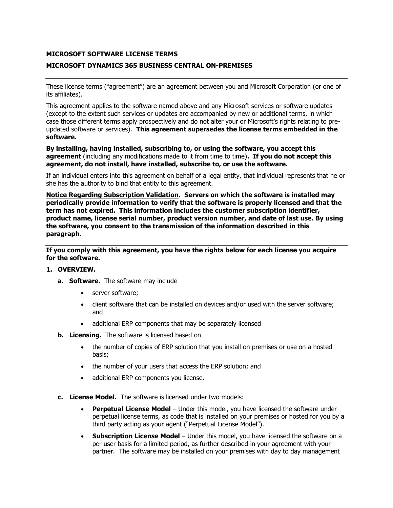#### **MICROSOFT SOFTWARE LICENSE TERMS**

### **MICROSOFT DYNAMICS 365 BUSINESS CENTRAL ON-PREMISES**

These license terms ("agreement") are an agreement between you and Microsoft Corporation (or one of its affiliates).

This agreement applies to the software named above and any Microsoft services or software updates (except to the extent such services or updates are accompanied by new or additional terms, in which case those different terms apply prospectively and do not alter your or Microsoft's rights relating to preupdated software or services). **This agreement supersedes the license terms embedded in the software.**

**By installing, having installed, subscribing to, or using the software, you accept this agreement** (including any modifications made to it from time to time)**. If you do not accept this agreement, do not install, have installed, subscribe to, or use the software.** 

If an individual enters into this agreement on behalf of a legal entity, that individual represents that he or she has the authority to bind that entity to this agreement.

**Notice Regarding Subscription Validation. Servers on which the software is installed may periodically provide information to verify that the software is properly licensed and that the term has not expired. This information includes the customer subscription identifier, product name, license serial number, product version number, and date of last use. By using the software, you consent to the transmission of the information described in this paragraph.**

**If you comply with this agreement, you have the rights below for each license you acquire for the software.**

#### **1. OVERVIEW.**

- **a. Software.** The software may include
	- server software;
	- client software that can be installed on devices and/or used with the server software; and
	- additional ERP components that may be separately licensed
- **b.** Licensing. The software is licensed based on
	- the number of copies of ERP solution that you install on premises or use on a hosted basis;
	- the number of your users that access the ERP solution; and
	- additional ERP components you license.
- **c. License Model.** The software is licensed under two models:
	- **Perpetual License Model** Under this model, you have licensed the software under perpetual license terms, as code that is installed on your premises or hosted for you by a third party acting as your agent ("Perpetual License Model").
	- **Subscription License Model**  Under this model, you have licensed the software on a per user basis for a limited period, as further described in your agreement with your partner. The software may be installed on your premises with day to day management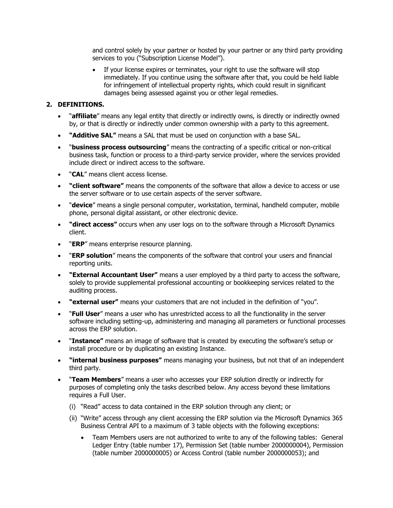and control solely by your partner or hosted by your partner or any third party providing services to you ("Subscription License Model").

• If your license expires or terminates, your right to use the software will stop immediately. If you continue using the software after that, you could be held liable for infringement of intellectual property rights, which could result in significant damages being assessed against you or other legal remedies.

## **2. DEFINITIONS.**

- "**affiliate**" means any legal entity that directly or indirectly owns, is directly or indirectly owned by, or that is directly or indirectly under common ownership with a party to this agreement.
- **"Additive SAL"** means a SAL that must be used on conjunction with a base SAL.
- "**business process outsourcing**" means the contracting of a specific critical or non-critical business task, function or process to a third-party service provider, where the services provided include direct or indirect access to the software.
- "**CAL**" means client access license.
- **"client software"** means the components of the software that allow a device to access or use the server software or to use certain aspects of the server software.
- "**device**" means a single personal computer, workstation, terminal, handheld computer, mobile phone, personal digital assistant, or other electronic device.
- **"direct access"** occurs when any user logs on to the software through a Microsoft Dynamics client.
- "**ERP**" means enterprise resource planning.
- "**ERP solution**" means the components of the software that control your users and financial reporting units.
- **"External Accountant User"** means a user employed by a third party to access the software, solely to provide supplemental professional accounting or bookkeeping services related to the auditing process.
- **"external user"** means your customers that are not included in the definition of "you".
- "**Full User**" means a user who has unrestricted access to all the functionality in the server software including setting-up, administering and managing all parameters or functional processes across the ERP solution.
- "**Instance"** means an image of software that is created by executing the software's setup or install procedure or by duplicating an existing Instance.
- **"internal business purposes"** means managing your business, but not that of an independent third party.
- "**Team Members**" means a user who accesses your ERP solution directly or indirectly for purposes of completing only the tasks described below. Any access beyond these limitations requires a Full User.
	- (i) "Read" access to data contained in the ERP solution through any client; or
	- (ii) "Write" access through any client accessing the ERP solution via the Microsoft Dynamics 365 Business Central API to a maximum of 3 table objects with the following exceptions:
		- Team Members users are not authorized to write to any of the following tables: General Ledger Entry (table number 17), Permission Set (table number 2000000004), Permission (table number 2000000005) or Access Control (table number 2000000053); and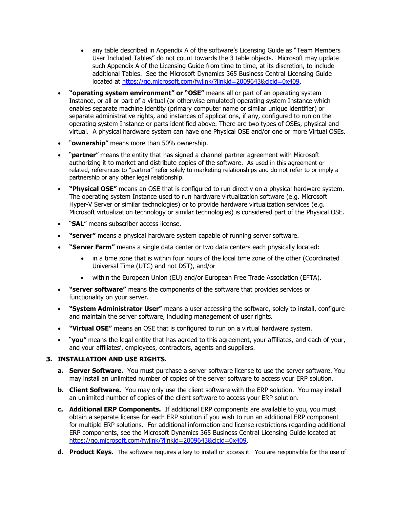- any table described in Appendix A of the software's Licensing Guide as "Team Members User Included Tables" do not count towards the 3 table objects. Microsoft may update such Appendix A of the Licensing Guide from time to time, at its discretion, to include additional Tables. See the Microsoft Dynamics 365 Business Central Licensing Guide located at [https://go.microsoft.com/fwlink/?linkid=2009643&clcid=0x409.](https://na01.safelinks.protection.outlook.com/?url=https%3A%2F%2Faka.ms%2FNAV2017LicensingGuide&data=01%7C01%7Caleahy%40microsoft.com%7Cc5edef34849e4afad84508d3ec7450da%7C72f988bf86f141af91ab2d7cd011db47%7C1&sdata=HYw3U8JLTGPxeqj0KmcMW98JHrMzr2Mk7orkONsmw1w%3D&reserved=0)
- **"operating system environment" or "OSE"** means all or part of an operating system Instance, or all or part of a virtual (or otherwise emulated) operating system Instance which enables separate machine identity (primary computer name or similar unique identifier) or separate administrative rights, and instances of applications, if any, configured to run on the operating system Instance or parts identified above. There are two types of OSEs, physical and virtual. A physical hardware system can have one Physical OSE and/or one or more Virtual OSEs.
- "**ownership**" means more than 50% ownership.
- "**partner**" means the entity that has signed a channel partner agreement with Microsoft authorizing it to market and distribute copies of the software. As used in this agreement or related, references to "partner" refer solely to marketing relationships and do not refer to or imply a partnership or any other legal relationship.
- **"Physical OSE"** means an OSE that is configured to run directly on a physical hardware system. The operating system Instance used to run hardware virtualization software (e.g. Microsoft Hyper-V Server or similar technologies) or to provide hardware virtualization services (e.g. Microsoft virtualization technology or similar technologies) is considered part of the Physical OSE.
- "**SAL**" means subscriber access license.
- **"server"** means a physical hardware system capable of running server software.
- **"Server Farm"** means a single data center or two data centers each physically located:
	- in a time zone that is within four hours of the local time zone of the other (Coordinated Universal Time (UTC) and not DST), and/or
	- within the European Union (EU) and/or European Free Trade Association (EFTA).
- **"server software"** means the components of the software that provides services or functionality on your server.
- **"System Administrator User"** means a user accessing the software, solely to install, configure and maintain the server software, including management of user rights.
- **"Virtual OSE"** means an OSE that is configured to run on a virtual hardware system.
- "**you**" means the legal entity that has agreed to this agreement, your affiliates, and each of your, and your affiliates', employees, contractors, agents and suppliers.

# **3. INSTALLATION AND USE RIGHTS.**

- **a. Server Software.** You must purchase a server software license to use the server software. You may install an unlimited number of copies of the server software to access your ERP solution.
- **b. Client Software.** You may only use the client software with the ERP solution. You may install an unlimited number of copies of the client software to access your ERP solution.
- **c. Additional ERP Components.** If additional ERP components are available to you, you must obtain a separate license for each ERP solution if you wish to run an additional ERP component for multiple ERP solutions. For additional information and license restrictions regarding additional ERP components, see the Microsoft Dynamics 365 Business Central Licensing Guide located at [https://go.microsoft.com/fwlink/?linkid=2009643&clcid=0x409.](https://na01.safelinks.protection.outlook.com/?url=https%3A%2F%2Faka.ms%2FNAV2017LicensingGuide&data=01%7C01%7Caleahy%40microsoft.com%7Cc5edef34849e4afad84508d3ec7450da%7C72f988bf86f141af91ab2d7cd011db47%7C1&sdata=HYw3U8JLTGPxeqj0KmcMW98JHrMzr2Mk7orkONsmw1w%3D&reserved=0)
- **d. Product Keys.** The software requires a key to install or access it. You are responsible for the use of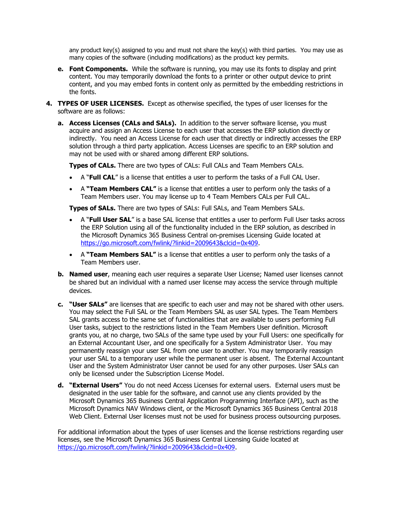any product key(s) assigned to you and must not share the key(s) with third parties. You may use as many copies of the software (including modifications) as the product key permits.

- **e. Font Components.** While the software is running, you may use its fonts to display and print content. You may temporarily download the fonts to a printer or other output device to print content, and you may embed fonts in content only as permitted by the embedding restrictions in the fonts.
- **4. TYPES OF USER LICENSES.** Except as otherwise specified, the types of user licenses for the software are as follows:
	- **a. Access Licenses (CALs and SALs).** In addition to the server software license, you must acquire and assign an Access License to each user that accesses the ERP solution directly or indirectly. You need an Access License for each user that directly or indirectly accesses the ERP solution through a third party application. Access Licenses are specific to an ERP solution and may not be used with or shared among different ERP solutions.

**Types of CALs.** There are two types of CALs: Full CALs and Team Members CALs.

- A "**Full CAL**" is a license that entitles a user to perform the tasks of a Full CAL User.
- A **"Team Members CAL"** is a license that entitles a user to perform only the tasks of a Team Members user. You may license up to 4 Team Members CALs per Full CAL.

**Types of SALs.** There are two types of SALs: Full SALs, and Team Members SALs.

- A "**Full User SAL**" is a base SAL license that entitles a user to perform Full User tasks across the ERP Solution using all of the functionality included in the ERP solution, as described in the Microsoft Dynamics 365 Business Central on-premises Licensing Guide located at [https://go.microsoft.com/fwlink/?linkid=2009643&clcid=0x409.](https://na01.safelinks.protection.outlook.com/?url=https%3A%2F%2Faka.ms%2FNAV2017LicensingGuide&data=01%7C01%7Caleahy%40microsoft.com%7Cc5edef34849e4afad84508d3ec7450da%7C72f988bf86f141af91ab2d7cd011db47%7C1&sdata=HYw3U8JLTGPxeqj0KmcMW98JHrMzr2Mk7orkONsmw1w%3D&reserved=0)
- A **"Team Members SAL"** is a license that entitles a user to perform only the tasks of a Team Members user.
- **b. Named user**, meaning each user requires a separate User License; Named user licenses cannot be shared but an individual with a named user license may access the service through multiple devices.
- **c. "User SALs"** are licenses that are specific to each user and may not be shared with other users. You may select the Full SAL or the Team Members SAL as user SAL types. The Team Members SAL grants access to the same set of functionalities that are available to users performing Full User tasks, subject to the restrictions listed in the Team Members User definition. Microsoft grants you, at no charge, two SALs of the same type used by your Full Users: one specifically for an External Accountant User, and one specifically for a System Administrator User. You may permanently reassign your user SAL from one user to another. You may temporarily reassign your user SAL to a temporary user while the permanent user is absent. The External Accountant User and the System Administrator User cannot be used for any other purposes. User SALs can only be licensed under the Subscription License Model.
- **d. "External Users"** You do not need Access Licenses for external users. External users must be designated in the user table for the software, and cannot use any clients provided by the Microsoft Dynamics 365 Business Central Application Programming Interface (API), such as the Microsoft Dynamics NAV Windows client, or the Microsoft Dynamics 365 Business Central 2018 Web Client. External User licenses must not be used for business process outsourcing purposes.

For additional information about the types of user licenses and the license restrictions regarding user licenses, see the Microsoft Dynamics 365 Business Central Licensing Guide located at [https://go.microsoft.com/fwlink/?linkid=2009643&clcid=0x409.](https://na01.safelinks.protection.outlook.com/?url=https%3A%2F%2Faka.ms%2FNAV2017LicensingGuide&data=01%7C01%7Caleahy%40microsoft.com%7Cc5edef34849e4afad84508d3ec7450da%7C72f988bf86f141af91ab2d7cd011db47%7C1&sdata=HYw3U8JLTGPxeqj0KmcMW98JHrMzr2Mk7orkONsmw1w%3D&reserved=0)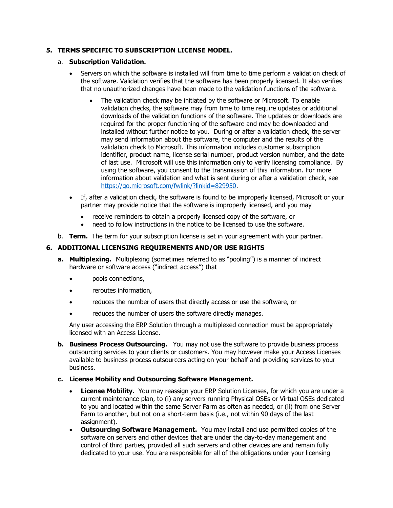## **5. TERMS SPECIFIC TO SUBSCRIPTION LICENSE MODEL.**

## a. **Subscription Validation.**

- Servers on which the software is installed will from time to time perform a validation check of the software. Validation verifies that the software has been properly licensed. It also verifies that no unauthorized changes have been made to the validation functions of the software.
	- The validation check may be initiated by the software or Microsoft. To enable validation checks, the software may from time to time require updates or additional downloads of the validation functions of the software. The updates or downloads are required for the proper functioning of the software and may be downloaded and installed without further notice to you. During or after a validation check, the server may send information about the software, the computer and the results of the validation check to Microsoft. This information includes customer subscription identifier, product name, license serial number, product version number, and the date of last use. Microsoft will use this information only to verify licensing compliance. By using the software, you consent to the transmission of this information. For more information about validation and what is sent during or after a validation check, see [https://go.microsoft.com/fwlink/?linkid=829950.](https://go.microsoft.com/fwlink/?linkid=829950)
- If, after a validation check, the software is found to be improperly licensed, Microsoft or your partner may provide notice that the software is improperly licensed, and you may
	- receive reminders to obtain a properly licensed copy of the software, or
	- heed to follow instructions in the notice to be licensed to use the software.
- b. **Term.** The term for your subscription license is set in your agreement with your partner.

# **6. ADDITIONAL LICENSING REQUIREMENTS AND/OR USE RIGHTS**

- **a. Multiplexing.** Multiplexing (sometimes referred to as "pooling") is a manner of indirect hardware or software access ("indirect access") that
	- pools connections,
	- reroutes information,
	- reduces the number of users that directly access or use the software, or
	- reduces the number of users the software directly manages.

Any user accessing the ERP Solution through a multiplexed connection must be appropriately licensed with an Access License.

**b. Business Process Outsourcing.** You may not use the software to provide business process outsourcing services to your clients or customers. You may however make your Access Licenses available to business process outsourcers acting on your behalf and providing services to your business.

### **c. License Mobility and Outsourcing Software Management.**

- **License Mobility.** You may reassign your ERP Solution Licenses, for which you are under a current maintenance plan, to (i) any servers running Physical OSEs or Virtual OSEs dedicated to you and located within the same Server Farm as often as needed, or (ii) from one Server Farm to another, but not on a short-term basis (i.e., not within 90 days of the last assignment).
- **Outsourcing Software Management.** You may install and use permitted copies of the software on servers and other devices that are under the day-to-day management and control of third parties, provided all such servers and other devices are and remain fully dedicated to your use. You are responsible for all of the obligations under your licensing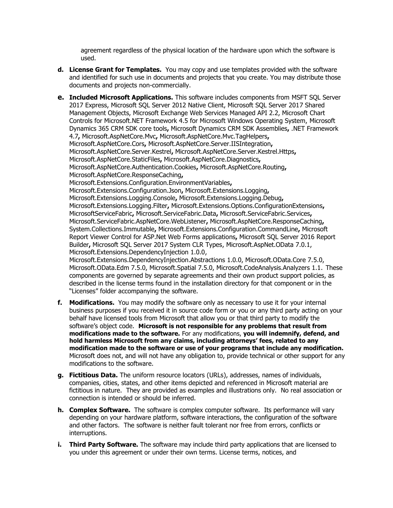agreement regardless of the physical location of the hardware upon which the software is used.

- **d. License Grant for Templates.** You may copy and use templates provided with the software and identified for such use in documents and projects that you create. You may distribute those documents and projects non-commercially.
- **e. Included Microsoft Applications.** This software includes components from MSFT SQL Server 2017 Express, Microsoft SQL Server 2012 Native Client, Microsoft SQL Server 2017 Shared Management Objects, Microsoft Exchange Web Services Managed API 2.2, Microsoft Chart Controls for Microsoft.NET Framework 4.5 for Microsoft Windows Operating System, Microsoft Dynamics 365 CRM SDK core tools**,** Microsoft Dynamics CRM SDK Assemblies**,** .NET Framework 4.7**,** Microsoft.AspNetCore.Mvc**,** Microsoft.AspNetCore.Mvc.TagHelpers**,**  Microsoft.AspNetCore.Cors**,** Microsoft.AspNetCore.Server.IISIntegration**,**  Microsoft.AspNetCore.Server.Kestrel**,** Microsoft.AspNetCore.Server.Kestrel.Https**,**  Microsoft.AspNetCore.StaticFiles**,** Microsoft.AspNetCore.Diagnostics**,**  Microsoft.AspNetCore.Authentication.Cookies**,** Microsoft.AspNetCore.Routing**,**  Microsoft.AspNetCore.ResponseCaching**,**  Microsoft.Extensions.Configuration.EnvironmentVariables**,**  Microsoft.Extensions.Configuration.Json**,** Microsoft.Extensions.Logging**,**  Microsoft.Extensions.Logging.Console**,** Microsoft.Extensions.Logging.Debug**,**  Microsoft.Extensions.Logging.Filter**,** Microsoft.Extensions.Options.ConfigurationExtensions**,**  MicrosoftServiceFabric**,** Microsoft.ServiceFabric.Data**,** Microsoft.ServiceFabric.Services**,**  Microsoft.ServiceFabric.AspNetCore.WebListener**,** Microsoft.AspNetCore.ResponseCaching**,**  System.Collections.Immutable**,** Microsoft.Extensions.Configuration.CommandLine**,** Microsoft Report Viewer Control for ASP.Net Web Forms applications**,** Microsoft SQL Server 2016 Report Builder**,** Microsoft SQL Server 2017 System CLR Types, Microsoft.AspNet.OData 7.0.1, Microsoft.Extensions.DependencyInjection 1.0.0, Microsoft.Extensions.DependencyInjection.Abstractions 1.0.0, Microsoft.OData.Core 7.5.0, Microsoft.OData.Edm 7.5.0, Microsoft.Spatial 7.5.0, Microsoft.CodeAnalysis.Analyzers 1.1. These components are governed by separate agreements and their own product support policies, as described in the license terms found in the installation directory for that component or in the
	- "Licenses" folder accompanying the software.
- **f. Modifications.** You may modify the software only as necessary to use it for your internal business purposes if you received it in source code form or you or any third party acting on your behalf have licensed tools from Microsoft that allow you or that third party to modify the software's object code. **Microsoft is not responsible for any problems that result from modifications made to the software.** For any modifications, **you will indemnify, defend, and hold harmless Microsoft from any claims, including attorneys' fees, related to any modification made to the software or use of your programs that include any modification.** Microsoft does not, and will not have any obligation to, provide technical or other support for any modifications to the software.
- **g. Fictitious Data.** The uniform resource locators (URLs), addresses, names of individuals, companies, cities, states, and other items depicted and referenced in Microsoft material are fictitious in nature. They are provided as examples and illustrations only. No real association or connection is intended or should be inferred.
- **h. Complex Software.** The software is complex computer software. Its performance will vary depending on your hardware platform, software interactions, the configuration of the software and other factors. The software is neither fault tolerant nor free from errors, conflicts or interruptions.
- **i. Third Party Software.** The software may include third party applications that are licensed to you under this agreement or under their own terms. License terms, notices, and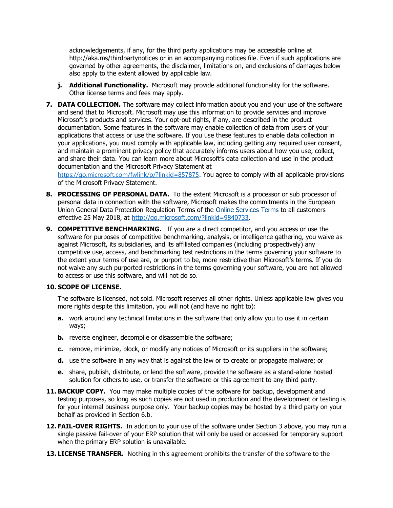acknowledgements, if any, for the third party applications may be accessible online at http://aka.ms/thirdpartynotices or in an accompanying notices file. Even if such applications are governed by other agreements, the disclaimer, limitations on, and exclusions of damages below also apply to the extent allowed by applicable law.

- **j.** Additional Functionality. Microsoft may provide additional functionality for the software. Other license terms and fees may apply.
- **7. DATA COLLECTION.** The software may collect information about you and your use of the software and send that to Microsoft. Microsoft may use this information to provide services and improve Microsoft's products and services. Your opt-out rights, if any, are described in the product documentation. Some features in the software may enable collection of data from users of your applications that access or use the software. If you use these features to enable data collection in your applications, you must comply with applicable law, including getting any required user consent, and maintain a prominent privacy policy that accurately informs users about how you use, collect, and share their data. You can learn more about Microsoft's data collection and use in the product documentation and the Microsoft Privacy Statement at

<https://go.microsoft.com/fwlink/p/?linkid=857875>. You agree to comply with all applicable provisions of the Microsoft Privacy Statement.

- **8. PROCESSING OF PERSONAL DATA.** To the extent Microsoft is a processor or sub processor of personal data in connection with the software, Microsoft makes the commitments in the European Union General Data Protection Regulation Terms of the [Online Services Terms](https://na01.safelinks.protection.outlook.com/?url=http://www.microsoftvolumelicensing.com/DocumentSearch.aspx?Mode=3&DocumentTypeId=31&data=02%7C01%7Cv-anearn@microsoft.com%7C11dea81cce4f4bff35ff08d56d933dad%7Cee3303d7fb734b0c8589bcd847f1c277%7C1%7C0%7C6365354015380267) to all customers effective 25 May 2018, at [http://go.microsoft.com/?linkid=9840733.](http://go.microsoft.com/?linkid=9840733)
- **9. COMPETITIVE BENCHMARKING.** If you are a direct competitor, and you access or use the software for purposes of competitive benchmarking, analysis, or intelligence gathering, you waive as against Microsoft, its subsidiaries, and its affiliated companies (including prospectively) any competitive use, access, and benchmarking test restrictions in the terms governing your software to the extent your terms of use are, or purport to be, more restrictive than Microsoft's terms. If you do not waive any such purported restrictions in the terms governing your software, you are not allowed to access or use this software, and will not do so.

### **10. SCOPE OF LICENSE.**

The software is licensed, not sold. Microsoft reserves all other rights. Unless applicable law gives you more rights despite this limitation, you will not (and have no right to):

- **a.** work around any technical limitations in the software that only allow you to use it in certain ways;
- **b.** reverse engineer, decompile or disassemble the software;
- **c.** remove, minimize, block, or modify any notices of Microsoft or its suppliers in the software;
- **d.** use the software in any way that is against the law or to create or propagate malware; or
- **e.** share, publish, distribute, or lend the software, provide the software as a stand-alone hosted solution for others to use, or transfer the software or this agreement to any third party.
- 11. **BACKUP COPY.** You may make multiple copies of the software for backup, development and testing purposes, so long as such copies are not used in production and the development or testing is for your internal business purpose only. Your backup copies may be hosted by a third party on your behalf as provided in Section 6.b.
- **12. FAIL-OVER RIGHTS.** In addition to your use of the software under Section 3 above, you may run a single passive fail-over of your ERP solution that will only be used or accessed for temporary support when the primary ERP solution is unavailable.
- **13. LICENSE TRANSFER.** Nothing in this agreement prohibits the transfer of the software to the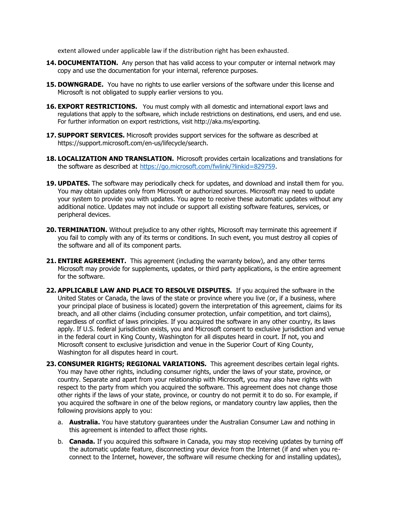extent allowed under applicable law if the distribution right has been exhausted.

- **14. DOCUMENTATION.** Any person that has valid access to your computer or internal network may copy and use the documentation for your internal, reference purposes.
- **15. DOWNGRADE.** You have no rights to use earlier versions of the software under this license and Microsoft is not obligated to supply earlier versions to you.
- **16. EXPORT RESTRICTIONS.** You must comply with all domestic and international export laws and regulations that apply to the software, which include restrictions on destinations, end users, and end use. For further information on export restrictions, visit http://aka.ms/exporting.
- **17. SUPPORT SERVICES.** Microsoft provides support services for the software as described at https://support.microsoft.com/en-us/lifecycle/search.
- **18. LOCALIZATION AND TRANSLATION.** Microsoft provides certain localizations and translations for the software as described at [https://go.microsoft.com/fwlink/?linkid=829759.](https://go.microsoft.com/fwlink/?linkid=829759)
- **19. UPDATES.** The software may periodically check for updates, and download and install them for you. You may obtain updates only from Microsoft or authorized sources. Microsoft may need to update your system to provide you with updates. You agree to receive these automatic updates without any additional notice. Updates may not include or support all existing software features, services, or peripheral devices.
- **20. TERMINATION.** Without prejudice to any other rights, Microsoft may terminate this agreement if you fail to comply with any of its terms or conditions. In such event, you must destroy all copies of the software and all of its component parts.
- **21. ENTIRE AGREEMENT.** This agreement (including the warranty below), and any other terms Microsoft may provide for supplements, updates, or third party applications, is the entire agreement for the software.
- **22. APPLICABLE LAW AND PLACE TO RESOLVE DISPUTES.** If you acquired the software in the United States or Canada, the laws of the state or province where you live (or, if a business, where your principal place of business is located) govern the interpretation of this agreement, claims for its breach, and all other claims (including consumer protection, unfair competition, and tort claims), regardless of conflict of laws principles. If you acquired the software in any other country, its laws apply. If U.S. federal jurisdiction exists, you and Microsoft consent to exclusive jurisdiction and venue in the federal court in King County, Washington for all disputes heard in court. If not, you and Microsoft consent to exclusive jurisdiction and venue in the Superior Court of King County, Washington for all disputes heard in court.
- 23. **CONSUMER RIGHTS; REGIONAL VARIATIONS.** This agreement describes certain legal rights. You may have other rights, including consumer rights, under the laws of your state, province, or country. Separate and apart from your relationship with Microsoft, you may also have rights with respect to the party from which you acquired the software. This agreement does not change those other rights if the laws of your state, province, or country do not permit it to do so. For example, if you acquired the software in one of the below regions, or mandatory country law applies, then the following provisions apply to you:
	- a. **Australia.** You have statutory guarantees under the Australian Consumer Law and nothing in this agreement is intended to affect those rights.
	- b. **Canada.** If you acquired this software in Canada, you may stop receiving updates by turning off the automatic update feature, disconnecting your device from the Internet (if and when you reconnect to the Internet, however, the software will resume checking for and installing updates),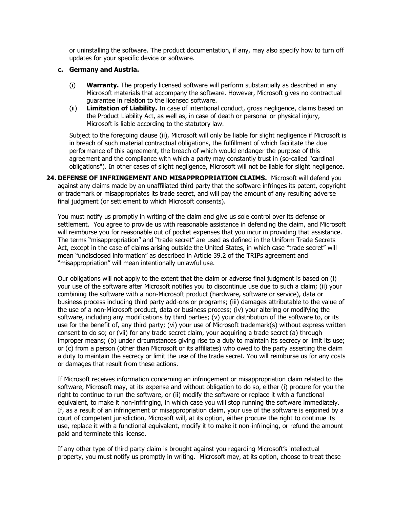or uninstalling the software. The product documentation, if any, may also specify how to turn off updates for your specific device or software.

#### **c. Germany and Austria.**

- (i) **Warranty.** The properly licensed software will perform substantially as described in any Microsoft materials that accompany the software. However, Microsoft gives no contractual guarantee in relation to the licensed software.
- (ii) **Limitation of Liability.** In case of intentional conduct, gross negligence, claims based on the Product Liability Act, as well as, in case of death or personal or physical injury, Microsoft is liable according to the statutory law.

Subject to the foregoing clause (ii), Microsoft will only be liable for slight negligence if Microsoft is in breach of such material contractual obligations, the fulfillment of which facilitate the due performance of this agreement, the breach of which would endanger the purpose of this agreement and the compliance with which a party may constantly trust in (so-called "cardinal obligations"). In other cases of slight negligence, Microsoft will not be liable for slight negligence.

**24. DEFENSE OF INFRINGEMENT AND MISAPPROPRIATION CLAIMS.** Microsoft will defend you against any claims made by an unaffiliated third party that the software infringes its patent, copyright or trademark or misappropriates its trade secret, and will pay the amount of any resulting adverse final judgment (or settlement to which Microsoft consents).

You must notify us promptly in writing of the claim and give us sole control over its defense or settlement. You agree to provide us with reasonable assistance in defending the claim, and Microsoft will reimburse you for reasonable out of pocket expenses that you incur in providing that assistance. The terms "misappropriation" and "trade secret" are used as defined in the Uniform Trade Secrets Act, except in the case of claims arising outside the United States, in which case "trade secret" will mean "undisclosed information" as described in Article 39.2 of the TRIPs agreement and "misappropriation" will mean intentionally unlawful use.

Our obligations will not apply to the extent that the claim or adverse final judgment is based on (i) your use of the software after Microsoft notifies you to discontinue use due to such a claim; (ii) your combining the software with a non-Microsoft product (hardware, software or service), data or business process including third party add-ons or programs; (iii) damages attributable to the value of the use of a non-Microsoft product, data or business process; (iv) your altering or modifying the software, including any modifications by third parties; (v) your distribution of the software to, or its use for the benefit of, any third party; (vi) your use of Microsoft trademark(s) without express written consent to do so; or (vii) for any trade secret claim, your acquiring a trade secret (a) through improper means; (b) under circumstances giving rise to a duty to maintain its secrecy or limit its use; or (c) from a person (other than Microsoft or its affiliates) who owed to the party asserting the claim a duty to maintain the secrecy or limit the use of the trade secret. You will reimburse us for any costs or damages that result from these actions.

If Microsoft receives information concerning an infringement or misappropriation claim related to the software, Microsoft may, at its expense and without obligation to do so, either (i) procure for you the right to continue to run the software, or (ii) modify the software or replace it with a functional equivalent, to make it non-infringing, in which case you will stop running the software immediately. If, as a result of an infringement or misappropriation claim, your use of the software is enjoined by a court of competent jurisdiction, Microsoft will, at its option, either procure the right to continue its use, replace it with a functional equivalent, modify it to make it non-infringing, or refund the amount paid and terminate this license.

If any other type of third party claim is brought against you regarding Microsoft's intellectual property, you must notify us promptly in writing. Microsoft may, at its option, choose to treat these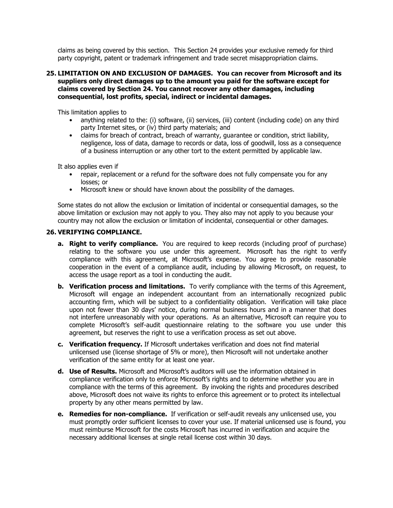claims as being covered by this section. This Section 24 provides your exclusive remedy for third party copyright, patent or trademark infringement and trade secret misappropriation claims.

#### **25. LIMITATION ON AND EXCLUSION OF DAMAGES. You can recover from Microsoft and its suppliers only direct damages up to the amount you paid for the software except for claims covered by Section 24. You cannot recover any other damages, including consequential, lost profits, special, indirect or incidental damages.**

This limitation applies to

- anything related to the: (i) software, (ii) services, (iii) content (including code) on any third party Internet sites, or (iv) third party materials; and
- claims for breach of contract, breach of warranty, guarantee or condition, strict liability, negligence, loss of data, damage to records or data, loss of goodwill, loss as a consequence of a business interruption or any other tort to the extent permitted by applicable law.

It also applies even if

- repair, replacement or a refund for the software does not fully compensate you for any losses; or
- Microsoft knew or should have known about the possibility of the damages.

Some states do not allow the exclusion or limitation of incidental or consequential damages, so the above limitation or exclusion may not apply to you. They also may not apply to you because your country may not allow the exclusion or limitation of incidental, consequential or other damages.

#### **26. VERIFYING COMPLIANCE.**

- **a. Right to verify compliance.** You are required to keep records (including proof of purchase) relating to the software you use under this agreement. Microsoft has the right to verify compliance with this agreement, at Microsoft's expense. You agree to provide reasonable cooperation in the event of a compliance audit, including by allowing Microsoft, on request, to access the usage report as a tool in conducting the audit.
- **b.** Verification process and limitations. To verify compliance with the terms of this Agreement, Microsoft will engage an independent accountant from an internationally recognized public accounting firm, which will be subject to a confidentiality obligation. Verification will take place upon not fewer than 30 days' notice, during normal business hours and in a manner that does not interfere unreasonably with your operations. As an alternative, Microsoft can require you to complete Microsoft's self-audit questionnaire relating to the software you use under this agreement, but reserves the right to use a verification process as set out above.
- **c. Verification frequency.** If Microsoft undertakes verification and does not find material unlicensed use (license shortage of 5% or more), then Microsoft will not undertake another verification of the same entity for at least one year.
- **d. Use of Results.** Microsoft and Microsoft's auditors will use the information obtained in compliance verification only to enforce Microsoft's rights and to determine whether you are in compliance with the terms of this agreement. By invoking the rights and procedures described above, Microsoft does not waive its rights to enforce this agreement or to protect its intellectual property by any other means permitted by law.
- **e. Remedies for non-compliance.** If verification or self-audit reveals any unlicensed use, you must promptly order sufficient licenses to cover your use. If material unlicensed use is found, you must reimburse Microsoft for the costs Microsoft has incurred in verification and acquire the necessary additional licenses at single retail license cost within 30 days.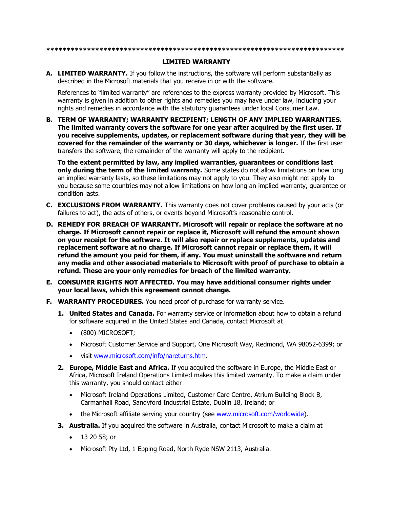#### **\*\*\*\*\*\*\*\*\*\*\*\*\*\*\*\*\*\*\*\*\*\*\*\*\*\*\*\*\*\*\*\*\*\*\*\*\*\*\*\*\*\*\*\*\*\*\*\*\*\*\*\*\*\*\*\*\*\*\*\*\*\*\*\*\*\*\*\*\*\*\*\*\***

#### **LIMITED WARRANTY**

**A. LIMITED WARRANTY.** If you follow the instructions, the software will perform substantially as described in the Microsoft materials that you receive in or with the software.

References to "limited warranty" are references to the express warranty provided by Microsoft. This warranty is given in addition to other rights and remedies you may have under law, including your rights and remedies in accordance with the statutory guarantees under local Consumer Law.

**B. TERM OF WARRANTY; WARRANTY RECIPIENT; LENGTH OF ANY IMPLIED WARRANTIES. The limited warranty covers the software for one year after acquired by the first user. If you receive supplements, updates, or replacement software during that year, they will be covered for the remainder of the warranty or 30 days, whichever is longer.** If the first user transfers the software, the remainder of the warranty will apply to the recipient.

**To the extent permitted by law, any implied warranties, guarantees or conditions last only during the term of the limited warranty.** Some states do not allow limitations on how long an implied warranty lasts, so these limitations may not apply to you. They also might not apply to you because some countries may not allow limitations on how long an implied warranty, guarantee or condition lasts.

- **C. EXCLUSIONS FROM WARRANTY.** This warranty does not cover problems caused by your acts (or failures to act), the acts of others, or events beyond Microsoft's reasonable control.
- **D. REMEDY FOR BREACH OF WARRANTY. Microsoft will repair or replace the software at no charge. If Microsoft cannot repair or replace it, Microsoft will refund the amount shown on your receipt for the software. It will also repair or replace supplements, updates and replacement software at no charge. If Microsoft cannot repair or replace them, it will refund the amount you paid for them, if any. You must uninstall the software and return any media and other associated materials to Microsoft with proof of purchase to obtain a refund. These are your only remedies for breach of the limited warranty.**
- **E. CONSUMER RIGHTS NOT AFFECTED. You may have additional consumer rights under your local laws, which this agreement cannot change.**
- **F. WARRANTY PROCEDURES.** You need proof of purchase for warranty service.
	- **1. United States and Canada.** For warranty service or information about how to obtain a refund for software acquired in the United States and Canada, contact Microsoft at
		- (800) MICROSOFT:
		- Microsoft Customer Service and Support, One Microsoft Way, Redmond, WA 98052-6399; or
		- visit www.microsoft.com/info/nareturns.htm.
	- **2. Europe, Middle East and Africa.** If you acquired the software in Europe, the Middle East or Africa, Microsoft Ireland Operations Limited makes this limited warranty. To make a claim under this warranty, you should contact either
		- Microsoft Ireland Operations Limited, Customer Care Centre, Atrium Building Block B, Carmanhall Road, Sandyford Industrial Estate, Dublin 18, Ireland; or
		- the Microsoft affiliate serving your country (see www.microsoft.com/worldwide).
	- **3. Australia.** If you acquired the software in Australia, contact Microsoft to make a claim at
		- 13 20 58; or
		- Microsoft Pty Ltd, 1 Epping Road, North Ryde NSW 2113, Australia.